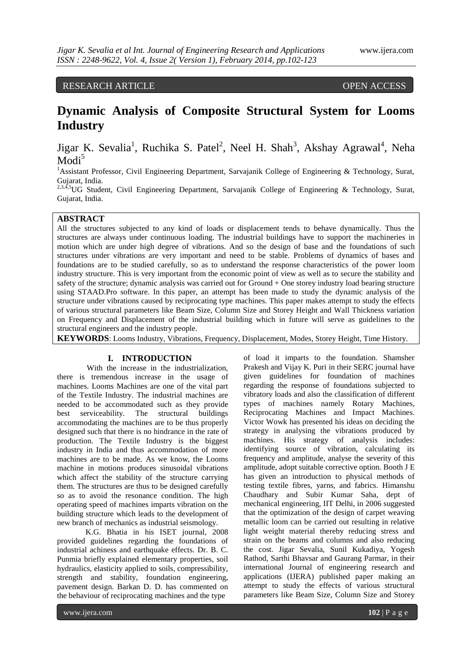# RESEARCH ARTICLE OPEN ACCESS

# **Dynamic Analysis of Composite Structural System for Looms Industry**

Jigar K. Sevalia<sup>1</sup>, Ruchika S. Patel<sup>2</sup>, Neel H. Shah<sup>3</sup>, Akshay Agrawal<sup>4</sup>, Neha  $Modi<sup>5</sup>$ 

<sup>1</sup>Assistant Professor, Civil Engineering Department, Sarvajanik College of Engineering & Technology, Surat, Gujarat, India.

<sup>2,3,4,5</sup>UG Student, Civil Engineering Department, Sarvajanik College of Engineering & Technology, Surat, Gujarat, India.

# **ABSTRACT**

All the structures subjected to any kind of loads or displacement tends to behave dynamically. Thus the structures are always under continuous loading. The industrial buildings have to support the machineries in motion which are under high degree of vibrations. And so the design of base and the foundations of such structures under vibrations are very important and need to be stable. Problems of dynamics of bases and foundations are to be studied carefully, so as to understand the response characteristics of the power loom industry structure. This is very important from the economic point of view as well as to secure the stability and safety of the structure; dynamic analysis was carried out for Ground + One storey industry load bearing structure using STAAD.Pro software. In this paper, an attempt has been made to study the dynamic analysis of the structure under vibrations caused by reciprocating type machines. This paper makes attempt to study the effects of various structural parameters like Beam Size, Column Size and Storey Height and Wall Thickness variation on Frequency and Displacement of the industrial building which in future will serve as guidelines to the structural engineers and the industry people.

**KEYWORDS**: Looms Industry, Vibrations, Frequency, Displacement, Modes, Storey Height, Time History.

## **I. INTRODUCTION**

 With the increase in the industrialization, there is tremendous increase in the usage of machines. Looms Machines are one of the vital part of the Textile Industry. The industrial machines are needed to be accommodated such as they provide best serviceability. The structural buildings accommodating the machines are to be thus properly designed such that there is no hindrance in the rate of production. The Textile Industry is the biggest industry in India and thus accommodation of more machines are to be made. As we know, the Looms machine in motions produces sinusoidal vibrations which affect the stability of the structure carrying them. The structures are thus to be designed carefully so as to avoid the resonance condition. The high operating speed of machines imparts vibration on the building structure which leads to the development of new branch of mechanics as industrial seismology.

K.G. Bhatia in his ISET journal, 2008 provided guidelines regarding the foundations of industrial achiness and earthquake effects. Dr. B. C. Punmia briefly explained elementary properties, soil hydraulics, elasticity applied to soils, compressibility, strength and stability, foundation engineering, pavement design. Barkan D. D. has commented on the behaviour of reciprocating machines and the type

of load it imparts to the foundation. Shamsher Prakesh and Vijay K. Puri in their SERC journal have given guidelines for foundation of machines regarding the response of foundations subjected to vibratory loads and also the classification of different types of machines namely Rotary Machines, Reciprocating Machines and Impact Machines. Victor Wowk has presented his ideas on deciding the strategy in analysing the vibrations produced by machines. His strategy of analysis includes: identifying source of vibration, calculating its frequency and amplitude, analyse the severity of this amplitude, adopt suitable corrective option. Booth J E has given an introduction to physical methods of testing textile fibres, yarns, and fabrics. Himanshu Chaudhary and Subir Kumar Saha, dept of mechanical engineering, IIT Delhi, in 2006 suggested that the optimization of the design of carpet weaving metallic loom can be carried out resulting in relative light weight material thereby reducing stress and strain on the beams and columns and also reducing the cost. Jigar Sevalia, Sunil Kukadiya, Yogesh Rathod, Sarthi Bhavsar and Gaurang Parmar, in their international Journal of engineering research and applications (IJERA) published paper making an attempt to study the effects of various structural parameters like Beam Size, Column Size and Storey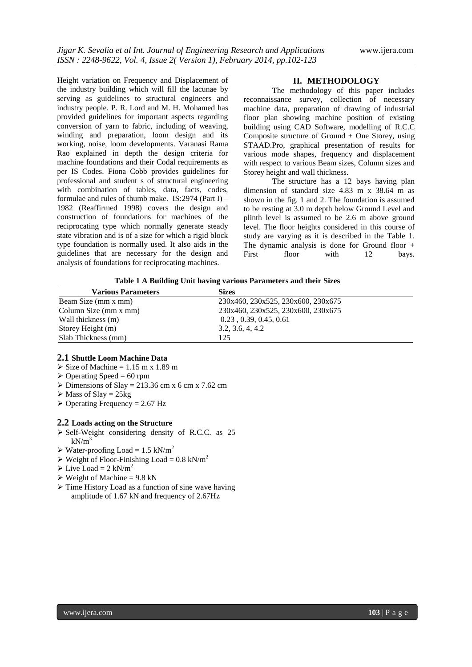Height variation on Frequency and Displacement of the industry building which will fill the lacunae by serving as guidelines to structural engineers and industry people. P. R. Lord and M. H. Mohamed has provided guidelines for important aspects regarding conversion of yarn to fabric, including of weaving, winding and preparation, loom design and its working, noise, loom developments. Varanasi Rama Rao explained in depth the design criteria for machine foundations and their Codal requirements as per IS Codes. Fiona Cobb provides guidelines for professional and student s of structural engineering with combination of tables, data, facts, codes, formulae and rules of thumb make. IS:2974 (Part I) – 1982 (Reaffirmed 1998) covers the design and construction of foundations for machines of the reciprocating type which normally generate steady state vibration and is of a size for which a rigid block type foundation is normally used. It also aids in the guidelines that are necessary for the design and analysis of foundations for reciprocating machines.

#### **II. METHODOLOGY**

The methodology of this paper includes reconnaissance survey, collection of necessary machine data, preparation of drawing of industrial floor plan showing machine position of existing building using CAD Software, modelling of R.C.C Composite structure of Ground  $+$  One Storey, using STAAD.Pro, graphical presentation of results for various mode shapes, frequency and displacement with respect to various Beam sizes, Column sizes and Storey height and wall thickness.

The structure has a 12 bays having plan dimension of standard size 4.83 m x 38.64 m as shown in the fig. 1 and 2. The foundation is assumed to be resting at 3.0 m depth below Ground Level and plinth level is assumed to be 2.6 m above ground level. The floor heights considered in this course of study are varying as it is described in the Table 1. The dynamic analysis is done for Ground floor + First floor with 12 bays.

 **Table 1 A Building Unit having various Parameters and their Sizes**

| <b>Various Parameters</b> | <b>Sizes</b>                       |
|---------------------------|------------------------------------|
| Beam Size (mm x mm)       | 230x460, 230x525, 230x600, 230x675 |
| Column Size (mm x mm)     | 230x460, 230x525, 230x600, 230x675 |
| Wall thickness (m)        | $0.23$ , $0.39$ , $0.45$ , $0.61$  |
| Storey Height (m)         | 3.2, 3.6, 4, 4.2                   |
| Slab Thickness (mm)       | 125                                |

#### **2.1 Shuttle Loom Machine Data**

- $\geq$  Size of Machine = 1.15 m x 1.89 m
- $\geq$  Operating Speed = 60 rpm
- $\triangleright$  Dimensions of Slay = 213.36 cm x 6 cm x 7.62 cm
- $\triangleright$  Mass of Slay = 25kg
- $\geq$  Operating Frequency = 2.67 Hz

#### **2.2 Loads acting on the Structure**

- $\triangleright$  Self-Weight considering density of R.C.C. as 25  $kN/m<sup>3</sup>$
- $\triangleright$  Water-proofing Load = 1.5 kN/m<sup>2</sup>
- $\triangleright$  Weight of Floor-Finishing Load = 0.8 kN/m<sup>2</sup>
- $\triangleright$  Live Load = 2 kN/m<sup>2</sup>
- $\triangleright$  Weight of Machine = 9.8 kN
- $\triangleright$  Time History Load as a function of sine wave having amplitude of 1.67 kN and frequency of 2.67Hz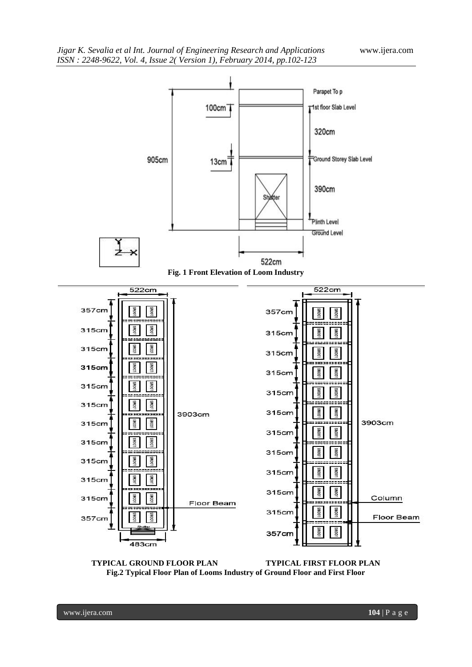

**TYPICAL GROUND FLOOR PLAN TYPICAL FIRST FLOOR PLAN Fig.2 Typical Floor Plan of Looms Industry of Ground Floor and First Floor**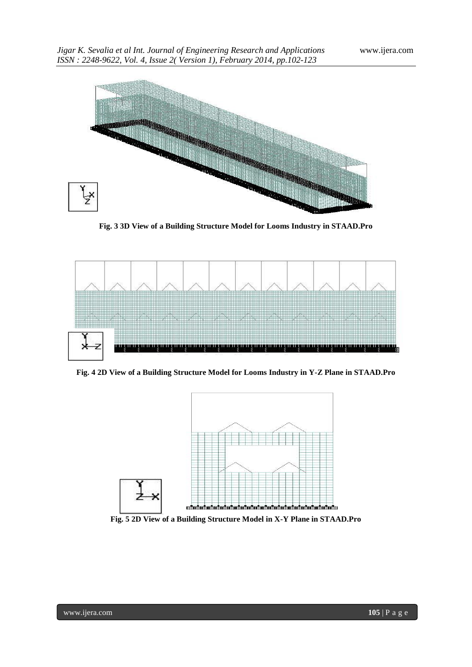

**Fig. 3 3D View of a Building Structure Model for Looms Industry in STAAD.Pro**



**Fig. 4 2D View of a Building Structure Model for Looms Industry in Y-Z Plane in STAAD.Pro**



**Fig. 5 2D View of a Building Structure Model in X-Y Plane in STAAD.Pro**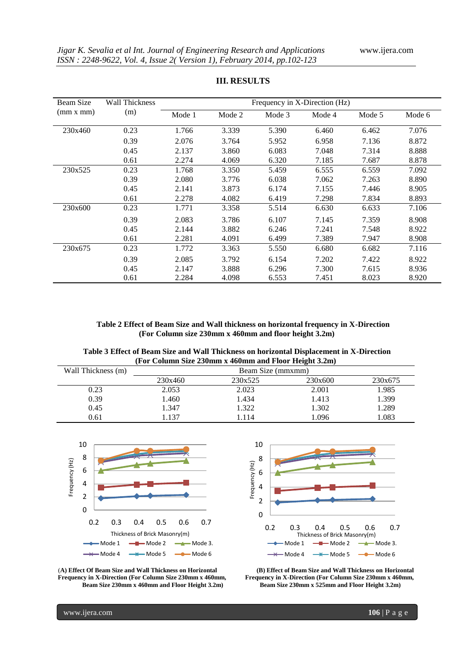| Beam Size | <b>Wall Thickness</b> | Frequency in X-Direction (Hz) |        |        |        |        |        |
|-----------|-----------------------|-------------------------------|--------|--------|--------|--------|--------|
| (mm x mm) | (m)                   | Mode 1                        | Mode 2 | Mode 3 | Mode 4 | Mode 5 | Mode 6 |
| 230x460   | 0.23                  | 1.766                         | 3.339  | 5.390  | 6.460  | 6.462  | 7.076  |
|           | 0.39                  | 2.076                         | 3.764  | 5.952  | 6.958  | 7.136  | 8.872  |
|           | 0.45                  | 2.137                         | 3.860  | 6.083  | 7.048  | 7.314  | 8.888  |
|           | 0.61                  | 2.274                         | 4.069  | 6.320  | 7.185  | 7.687  | 8.878  |
| 230x525   | 0.23                  | 1.768                         | 3.350  | 5.459  | 6.555  | 6.559  | 7.092  |
|           | 0.39                  | 2.080                         | 3.776  | 6.038  | 7.062  | 7.263  | 8.890  |
|           | 0.45                  | 2.141                         | 3.873  | 6.174  | 7.155  | 7.446  | 8.905  |
|           | 0.61                  | 2.278                         | 4.082  | 6.419  | 7.298  | 7.834  | 8.893  |
| 230x600   | 0.23                  | 1.771                         | 3.358  | 5.514  | 6.630  | 6.633  | 7.106  |
|           | 0.39                  | 2.083                         | 3.786  | 6.107  | 7.145  | 7.359  | 8.908  |
|           | 0.45                  | 2.144                         | 3.882  | 6.246  | 7.241  | 7.548  | 8.922  |
|           | 0.61                  | 2.281                         | 4.091  | 6.499  | 7.389  | 7.947  | 8.908  |
| 230x675   | 0.23                  | 1.772                         | 3.363  | 5.550  | 6.680  | 6.682  | 7.116  |
|           | 0.39                  | 2.085                         | 3.792  | 6.154  | 7.202  | 7.422  | 8.922  |
|           | 0.45                  | 2.147                         | 3.888  | 6.296  | 7.300  | 7.615  | 8.936  |
|           | 0.61                  | 2.284                         | 4.098  | 6.553  | 7.451  | 8.023  | 8.920  |

## **III. RESULTS**

**Table 2 Effect of Beam Size and Wall thickness on horizontal frequency in X-Direction (For Column size 230mm x 460mm and floor height 3.2m)** 

| Table 3 Effect of Beam Size and Wall Thickness on horizontal Displacement in X-Direction |                                                          |  |
|------------------------------------------------------------------------------------------|----------------------------------------------------------|--|
|                                                                                          | (For Column Size 230mm x 460mm and Floor Height $3.2m$ ) |  |

| Wall Thickness (m) | Beam Size (mmxmm) |         |         |         |  |  |
|--------------------|-------------------|---------|---------|---------|--|--|
|                    | 230x460           | 230x525 | 230x600 | 230x675 |  |  |
| 0.23               | 2.053             | 2.023   | 2.001   | 1.985   |  |  |
| 0.39               | .460              | 1.434   | 1.413   | 1.399   |  |  |
| 0.45               | 1.347             | 1.322   | 1.302   | 1.289   |  |  |
| 0.61               | .137              | 1.114   | 1.096   | 1.083   |  |  |





Beam Size 230mm x 460mm and Floor Height 3.2m)

(**A) Effect Of Beam Size and Wall Thickness on Horizontal (B) Effect of Beam Size and Wall Thickness on Horizontal Frequency in X-Direction (For Column Size 230mm x 460mm, Beam Size 230mm x 525mm and Floor Height 3.2m)**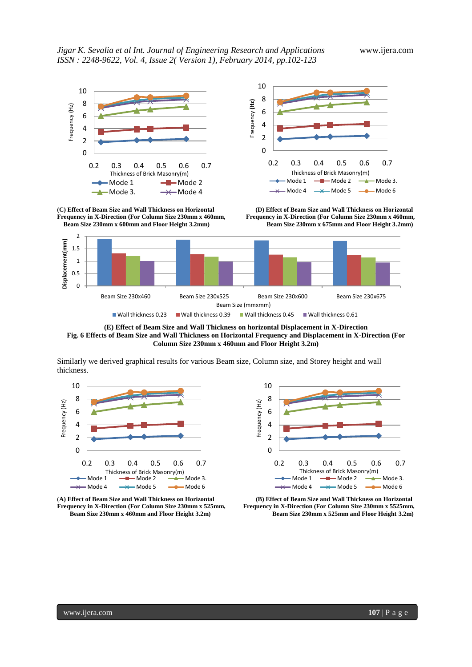

**(C) Effect of Beam Size and Wall Thickness on Horizontal (D) Effect of Beam Size and Wall Thickness on Horizontal** Beam Size 230mm x 600mm and Floor Height 3.2mm)



**Frequency in X-Direction (For Column Size 230mm x 460mm, Beam Size 230mm x 460mm, Beam Size 230mm x 460mm, Beam Size 230mm x 600mm and Floor Height 3.2mm)** 



**(E) Effect of Beam Size and Wall Thickness on horizontal Displacement in X-Direction Fig. 6 Effects of Beam Size and Wall Thickness on Horizontal Frequency and Displacement in X-Direction (For Column Size 230mm x 460mm and Floor Height 3.2m)**

Similarly we derived graphical results for various Beam size, Column size, and Storey height and wall thickness.





(**A) Effect of Beam Size and Wall Thickness on Horizontal (B) Effect of Beam Size and Wall Thickness on Horizontal Frequency in X-Direction (For Column Size 230mm x 525mm, Frequency in X-Direction (For Column Size 230mm x 5525mm, Beam Size 230mm x 525mm and Floor Height 3.2m)**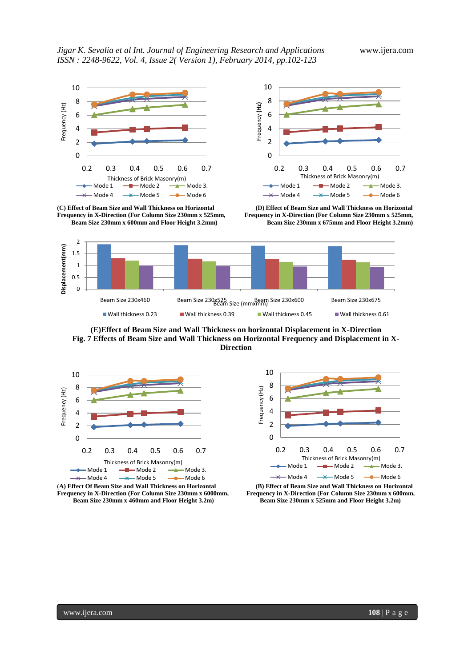

**(C) Effect of Beam Size and Wall Thickness on Horizontal (D) Effect of Beam Size and Wall Thickness on Horizontal Frequency in X-Direction (For Column Size 230mm x 525mm, Frequency in X-Direction (For Column Size 230mm x 525mm, Beam Size 230mm x 600mm and Floor Height 3.2mm)** 





**(E)Effect of Beam Size and Wall Thickness on horizontal Displacement in X-Direction Fig. 7 Effects of Beam Size and Wall Thickness on Horizontal Frequency and Displacement in X-Direction**



**Frequency in X-Direction (For Column Size 230mm x 6000mm, Frequency in X-Direction (For Column Size 230mm x 600mm, Beam Size 230mm x 460mm and Floor Height 3.2m) Beam Size 230mm x 525mm and Floor Height 3.2m**)



(**A) Effect Of Beam Size and Wall Thickness on Horizontal (B) Effect of Beam Size and Wall Thickness on Horizontal**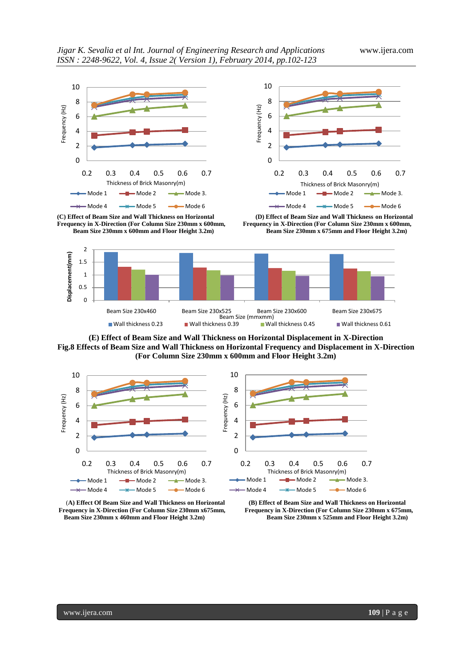



**Frequency in X-Direction (For Column Size 230mm x 600mm, Frequency in X-Direction (For Column Size 230mm x 600mm,**

**(C) Effect of Beam Size and Wall Thickness on Horizontal (D) Effect of Beam Size and Wall Thickness on Horizontal Beam Size 230mm x 600mm and Floor Height 3.2m) Beam Size 230mm x 675mm and Floor Height 3.2m**)



**(E) Effect of Beam Size and Wall Thickness on Horizontal Displacement in X-Direction Fig.8 Effects of Beam Size and Wall Thickness on Horizontal Frequency and Displacement in X-Direction (For Column Size 230mm x 600mm and Floor Height 3.2m)**





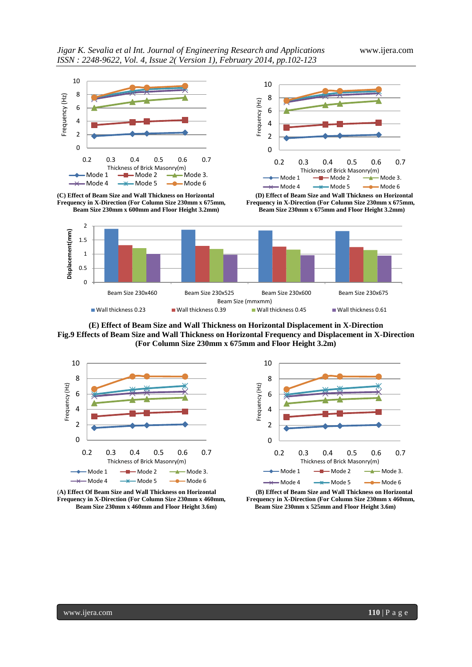

**(C) Effect of Beam Size and Wall Thickness on Horizontal (D) Effect of Beam Size and Wall Thickness on Horizontal Frequency in X-Direction (For Column Size 230mm x 675mm, Frequency in X-Direction (For Column Size 230mm x 675mm, Beam Size 230mm x 600mm and Floor Height 3.2mm) Beam Size 230mm x 675mm and Floor Height 3.2mm)**



**(E) Effect of Beam Size and Wall Thickness on Horizontal Displacement in X-Direction Fig.9 Effects of Beam Size and Wall Thickness on Horizontal Frequency and Displacement in X-Direction (For Column Size 230mm x 675mm and Floor Height 3.2m)**







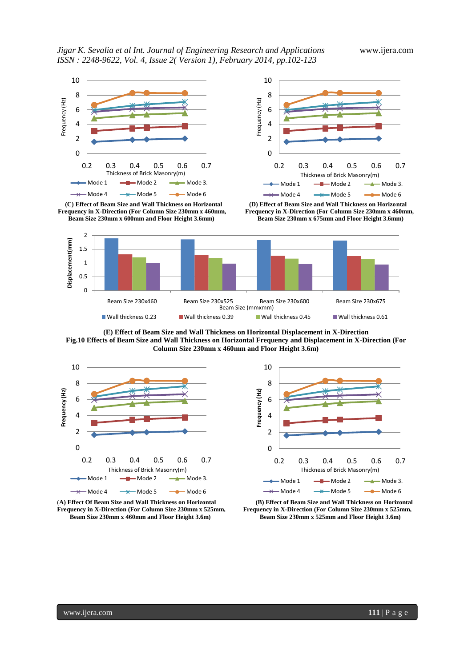

(C) Effect of Beam Size and Wall Thickness on Horizontal **(C) Effect of Beam Size and Wall Thickness on Horizontal (D) Effect of Beam Size and Wall Thickness on Horizontal Beam Size 230mm x 600mm and Floor Height 3.6mm) Beam Size 230mm x 675mm and Floor Height 3.6mm)**



**Frequency in X-Direction (For Column Size 230mm x 460mm, Frequency in X-Direction (For Column Size 230mm x 460mm,**



**(E) Effect of Beam Size and Wall Thickness on Horizontal Displacement in X-Direction Fig.10 Effects of Beam Size and Wall Thickness on Horizontal Frequency and Displacement in X-Direction (For Column Size 230mm x 460mm and Floor Height 3.6m)**







**Frequency in X-Direction (For Column Size 230mm x 525mm, Frequency in X-Direction (For Column Size 230mm x 525mm,**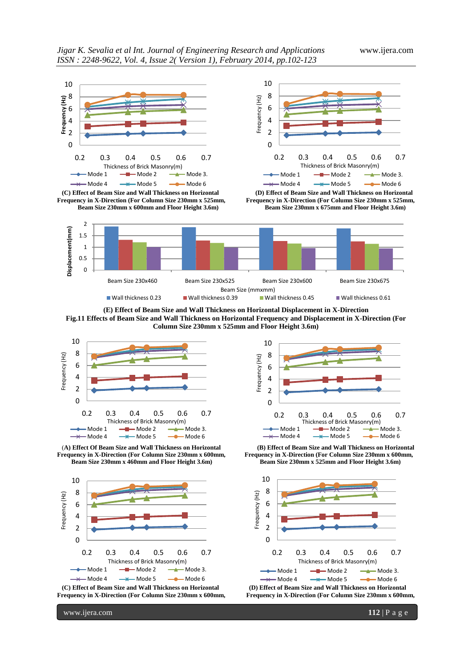



**Frequency in X-Direction (For Column Size 230mm x 525mm, Frequency in X-Direction (For Column Size 230mm x 525mm,**

 **(C) Effect of Beam Size and Wall Thickness on Horizontal (D) Effect of Beam Size and Wall Thickness on Horizontal Beam Size 230mm x 600mm and Floor Height 3.6m)** Beam Size 230mm x 675mm and Floor Height 3.6m)



**(E) Effect of Beam Size and Wall Thickness on Horizontal Displacement in X-Direction Fig.11 Effects of Beam Size and Wall Thickness on Horizontal Frequency and Displacement in X-Direction (For Column Size 230mm x 525mm and Floor Height 3.6m)**







**Frequency in X-Direction (For Column Size 230mm x 600mm, Frequency in X-Direction (For Column Size 230mm x 600mm,**



Beam Size 230mm x 525mm and Floor Height 3.6m)



www.ijera.com **112** | P a g e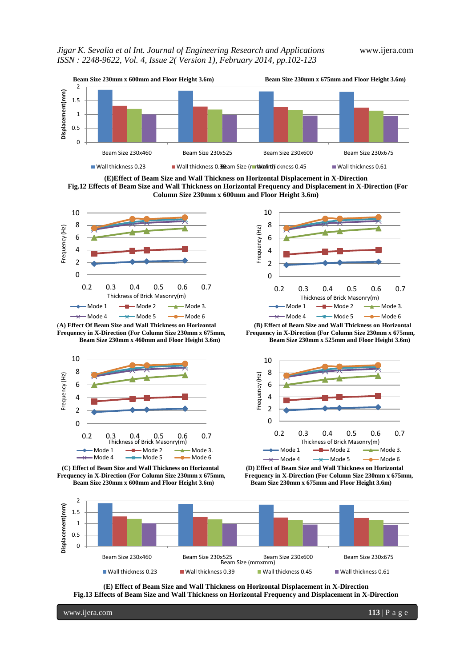*Jigar K. Sevalia et al Int. Journal of Engineering Research and Applications* www.ijera.com *ISSN : 2248-9622, Vol. 4, Issue 2( Version 1), February 2014, pp.102-123*



**(E)Effect of Beam Size and Wall Thickness on Horizontal Displacement in X-Direction Fig.12 Effects of Beam Size and Wall Thickness on Horizontal Frequency and Displacement in X-Direction (For Column Size 230mm x 600mm and Floor Height 3.6m)**



(**A) Effect Of Beam Size and Wall Thickness on Horizontal (B) Effect of Beam Size and Wall Thickness on Horizontal** 



 **(C) Effect of Beam Size and Wall Thickness on Horizontal (D) Effect of Beam Size and Wall Thickness on Horizontal Frequency in X-Direction (For Column Size 230mm x 675mm, Frequency in X-Direction (For Column Size 230mm x 675mm,** Beam Size 230mm x 600mm and Floor Height 3.6m)



**Frequency in X-Direction (For Column Size 230mm x 675mm, Frequency in X-Direction (For Column Size 230mm x 675mm, Beam Size 230mm x 460mm and Floor Height 3.6m) Beam Size 230mm x 525mm and Floor Height 3.6m**)





**(E) Effect of Beam Size and Wall Thickness on Horizontal Displacement in X-Direction Fig.13 Effects of Beam Size and Wall Thickness on Horizontal Frequency and Displacement in X-Direction**

www.ijera.com **113** | P a g e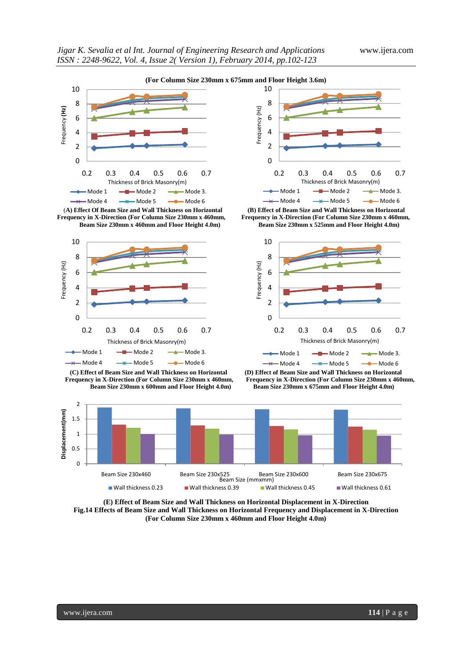





**Frequency in X-Direction (For Column Size 230mm x 460mm, Frequency in X-Direction (For Column Size 230mm x 460mm,**

**Beam Size 230mm x 460mm and Floor Height 4.0m) Beam Size 230mm x 525mm and Floor Height 4.0m** 



Beam Size 230mm x 600mm and Floor Height 4.0m)

**Frequency in X-Direction (For Column Size 230mm x 460mm, Frequency in X-Direction (For Column Size 230mm x 460mm, Beam Size 230mm x 600mm and Floor Height 4.0m)** Beam Size 230mm x 675mm and Floor Height 4.0m



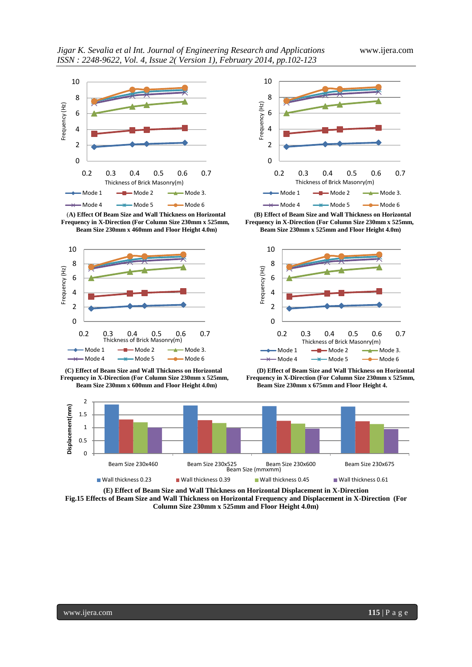

(A) Effect Of Beam Size and Wall Thickness on Horizontal **(B)** Effect of Beam Size and Wall Thickness on Horizontal  **Frequency in X-Direction (For Column Size 230mm x 525mm, Frequency in X-Direction (For Column Size 230mm x 525mm,**











**Frequency in X-Direction (For Column Size 230mm x 525mm, Frequency in X-Direction (For Column Size 230mm x 525mm, Beam Size 230mm Size 230mm x 600mm and Floor Height 4.0m)** Beam Size 230mm x 675mm and Floor Height 4.



**(E) Effect of Beam Size and Wall Thickness on Horizontal Displacement in X-Direction Fig.15 Effects of Beam Size and Wall Thickness on Horizontal Frequency and Displacement in X-Direction (For Column Size 230mm x 525mm and Floor Height 4.0m)**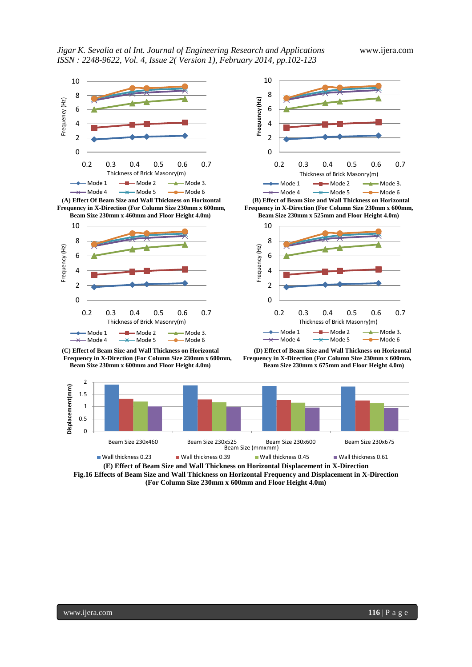

Archives Andre Allen Christmas Communication Christmas Communication Christmas Communication Christmas Communication<br>(A) Effect Of Beam Size and Wall Thickness on Horizontal *(B)* Effect of Beam Size and Wall Thickness on **Frequency in X-Direction (For Column Size 230mm x 600mm, Frequency in X-Direction (For Column Size 230mm x 600mm, Beam Size 230mm x 460mm and Floor Height 4.0m) Beam Size 230mm x 525mm and Floor Height 4.0m)** 









 **Frequency in X-Direction (For Column Size 230mm x 600mm, Frequency in X-Direction (For Column Size 230mm x 600mm, Beam Size 230mm x 600mm and Floor Height 4.0m) Beam Size 230mm x 675mm and Floor Height 4.0m)**



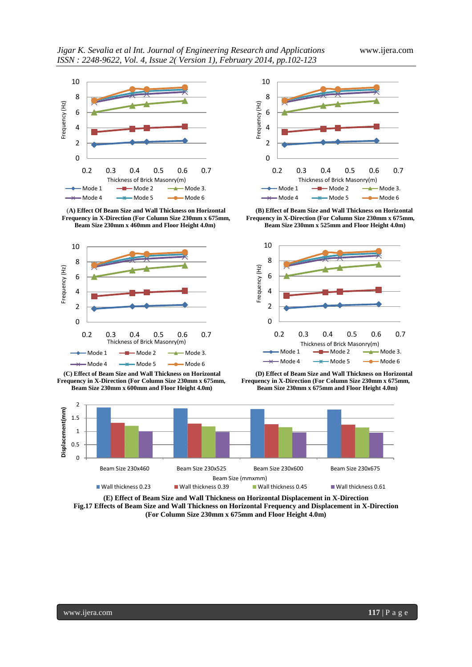

 **Frequency in X-Direction (For Column Size 230mm x 675mm, Frequency in X-Direction (For Column Size 230mm x 675mm, Beam Size 230mm x 460mm and Floor Height 4.0m) Beam Size 230mm x 525mm and Floor Height 4.0m)** 









 **Beam Size 230mm x 600mm and Floor Height 4.0m) Beam Size 230mm x 675mm and Floor Height 4.0m)**



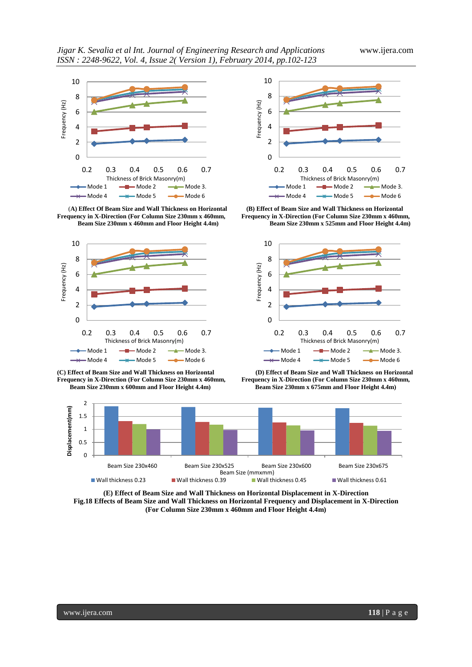

 (**A) Effect Of Beam Size and Wall Thickness on Horizontal (B) Effect of Beam Size and Wall Thickness on Horizontal Frequency in X-Direction (For Column Size 230mm x 460mm, Frequency in X-Direction (For Column Size 230mm x 460mm, Beam Size 230mm x 460mm and Floor Height 4.4m) Beam Size 230mm x 525mm and Floor Height 4.4m)** 



**Beam Size 230mm x 600mm and Floor Height 4.4m)** 





**(C) Effect of Beam Size and Wall Thickness on Horizontal (D) Effect of Beam Size and Wall Thickness on Horizontal Frequency in X-Direction (For Column Size 230mm x 460mm, Frequency in X-Direction (For Column Size 230mm x 460mm,**



**(E) Effect of Beam Size and Wall Thickness on Horizontal Displacement in X-Direction Fig.18 Effects of Beam Size and Wall Thickness on Horizontal Frequency and Displacement in X-Direction (For Column Size 230mm x 460mm and Floor Height 4.4m)**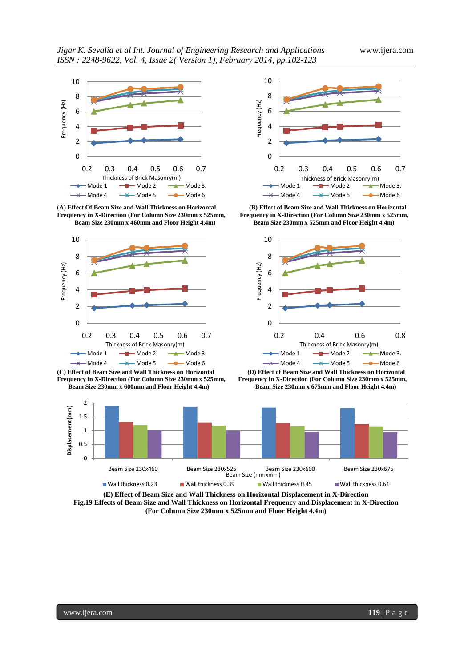

**Frequency in X-Direction (For Column Size 230mm x 525mm, Frequency in X-Direction (For Column Size 230mm x 525mm,**



**Frequency in X-Direction (For Column Size 230mm x 525mm, Frequency in X-Direction (For Column Size 230mm x 525mm,** Beam Size 230mm x 600mm and Floor Height 4.4m)



(**A) Effect Of Beam Size and Wall Thickness on Horizontal (B) Effect of Beam Size and Wall Thickness on Horizontal Beam Size 230mm x 460mm and Floor Height 4.4m) Beam Size 230mm x 525mm and Floor Height 4.4m)** 







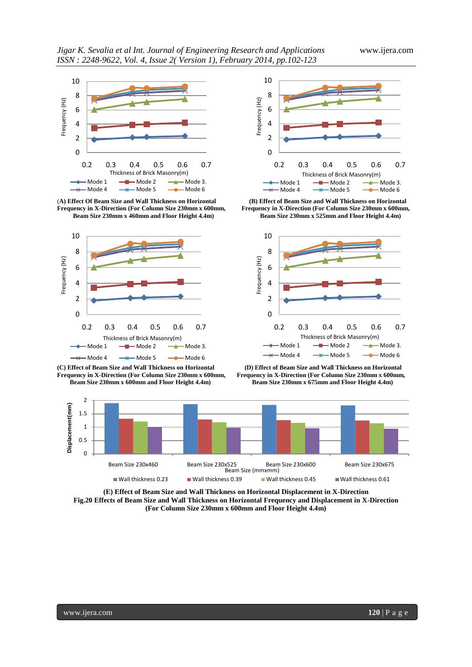

(**A) Effect Of Beam Size and Wall Thickness on Horizontal (B) Effect of Beam Size and Wall Thickness on Horizontal Frequency in X-Direction (For Column Size 230mm x 600mm, Frequency in X-Direction (For Column Size 230mm x 600mm,**



**Frequency in X-Direction (For Column Size 230mm x 600mm, Frequency in X-Direction (For Column Size 230mm x 600mm,** Beam Size 230mm x 600mm and Floor Height 4.4m)



 **Beam Size 230mm x 460mm and Floor Height 4.4m) Beam Size 230mm x 525mm and Floor Height 4.4m)** 



**(C) Effect of Beam Size and Wall Thickness on Horizontal (D) Effect of Beam Size and Wall Thickness on Horizontal**



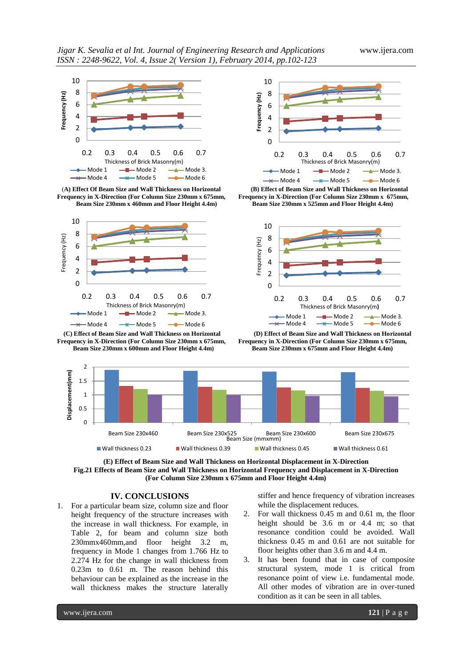





**Frequency in X-Direction (For Column Size 230mm x 675mm, Frequency in X-Direction (For Column Size 230mm x 675mm, Beam Size 230mm x 460mm and Floor Height 4.4m) Beam Size 230mm x 525mm and Floor Height 4.4m)** 



**Frequency in X-Direction (For Column Size 230mm x 675mm, Frequency in X-Direction (For Column Size 230mm x 675mm, Beam Size 230mm x 600mm and Floor Height 4.4m) Beam Size 230mm x 675mm and Floor Height 4.4m)**



**(E) Effect of Beam Size and Wall Thickness on Horizontal Displacement in X-Direction Fig.21 Effects of Beam Size and Wall Thickness on Horizontal Frequency and Displacement in X-Direction (For Column Size 230mm x 675mm and Floor Height 4.4m)**

## **IV. CONCLUSIONS**

1. For a particular beam size, column size and floor height frequency of the structure increases with the increase in wall thickness. For example, in Table 2, for beam and column size both 230mmx460mm,and floor height 3.2 m, frequency in Mode 1 changes from 1.766 Hz to 2.274 Hz for the change in wall thickness from 0.23m to 0.61 m. The reason behind this behaviour can be explained as the increase in the wall thickness makes the structure laterally stiffer and hence frequency of vibration increases while the displacement reduces.

- 2. For wall thickness 0.45 m and 0.61 m, the floor height should be 3.6 m or 4.4 m; so that resonance condition could be avoided. Wall thickness 0.45 m and 0.61 are not suitable for floor heights other than 3.6 m and 4.4 m.
- 3. It has been found that in case of composite structural system, mode 1 is critical from resonance point of view i.e. fundamental mode. All other modes of vibration are in over-tuned condition as it can be seen in all tables.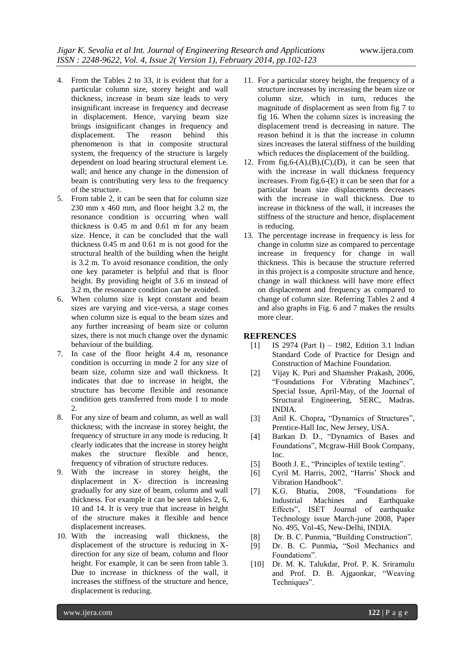- 4. From the Tables 2 to 33, it is evident that for a particular column size, storey height and wall thickness, increase in beam size leads to very insignificant increase in frequency and decrease in displacement. Hence, varying beam size brings insignificant changes in frequency and displacement. The reason behind this phenomenon is that in composite structural system, the frequency of the structure is largely dependent on load bearing structural element i.e. wall; and hence any change in the dimension of beam is contributing very less to the frequency of the structure.
- 5. From table 2, it can be seen that for column size 230 mm x 460 mm, and floor height 3.2 m, the resonance condition is occurring when wall thickness is 0.45 m and 0.61 m for any beam size. Hence, it can be concluded that the wall thickness 0.45 m and 0.61 m is not good for the structural health of the building when the height is 3.2 m. To avoid resonance condition, the only one key parameter is helpful and that is floor height. By providing height of 3.6 m instead of 3.2 m, the resonance condition can be avoided.
- 6. When column size is kept constant and beam sizes are varying and vice-versa, a stage comes when column size is equal to the beam sizes and any further increasing of beam size or column sizes, there is not much change over the dynamic behaviour of the building.
- 7. In case of the floor height 4.4 m, resonance condition is occurring in mode 2 for any size of beam size, column size and wall thickness. It indicates that due to increase in height, the structure has become flexible and resonance condition gets transferred from mode 1 to mode  $2.$
- 8. For any size of beam and column, as well as wall thickness; with the increase in storey height, the frequency of structure in any mode is reducing. It clearly indicates that the increase in storey height makes the structure flexible and hence, frequency of vibration of structure reduces.
- 9. With the increase in storey height, the displacement in X- direction is increasing gradually for any size of beam, column and wall thickness. For example it can be seen tables 2, 6, 10 and 14. It is very true that increase in height of the structure makes it flexible and hence displacement increases.
- 10. With the increasing wall thickness, the displacement of the structure is reducing in Xdirection for any size of beam, column and floor height. For example, it can be seen from table 3. Due to increase in thickness of the wall, it increases the stiffness of the structure and hence, displacement is reducing.
- 11. For a particular storey height, the frequency of a structure increases by increasing the beam size or column size, which in turn, reduces the magnitude of displacement as seen from fig 7 to fig 16. When the column sizes is increasing the displacement trend is decreasing in nature. The reason behind it is that the increase in column sizes increases the lateral stiffness of the building which reduces the displacement of the building.
- 12. From fig.6- $(A)$ , $(B)$ , $(C)$ , $(D)$ , it can be seen that with the increase in wall thickness frequency increases. From fig.6-(E) it can be seen that for a particular beam size displacements decreases with the increase in wall thickness. Due to increase in thickness of the wall, it increases the stiffness of the structure and hence, displacement is reducing.
- 13. The percentage increase in frequency is less for change in column size as compared to percentage increase in frequency for change in wall thickness. This is because the structure referred in this project is a composite structure and hence, change in wall thickness will have more effect on displacement and frequency as compared to change of column size. Referring Tables 2 and 4 and also graphs in Fig. 6 and 7 makes the results more clear.

#### **REFRENCES**

- [1] IS 2974 (Part I) 1982, Edition 3.1 Indian Standard Code of Practice for Design and Construction of Machine Foundation.
- [2] Vijay K. Puri and Shamsher Prakash, 2006, "Foundations For Vibrating Machines", Special Issue, April-May, of the Journal of Structural Engineering, SERC, Madras. INDIA.
- [3] Anil K. Chopra, "Dynamics of Structures", Prentice-Hall Inc, New Jersey, USA.
- [4] Barkan D. D., "Dynamics of Bases and Foundations", Mcgraw-Hill Book Company, Inc.
- [5] Booth J. E., "Principles of textile testing".
- [6] Cyril M. Harris, 2002, "Harris' Shock and Vibration Handbook".
- [7] K.G. Bhatia, 2008, "Foundations for Industrial Machines and Earthquake Effects", ISET Journal of earthquake Technology issue March-june 2008, Paper No. 495, Vol-45, New-Delhi, INDIA.
- [8] Dr. B. C. Punmia, "Building Construction".
- [9] Dr. B. C. Punmia**,** "Soil Mechanics and Foundations".
- [10] Dr. M. K. Talukdar, Prof. P. K. Sriramulu and Prof. D. B. Ajgaonkar, "Weaving Techniques".